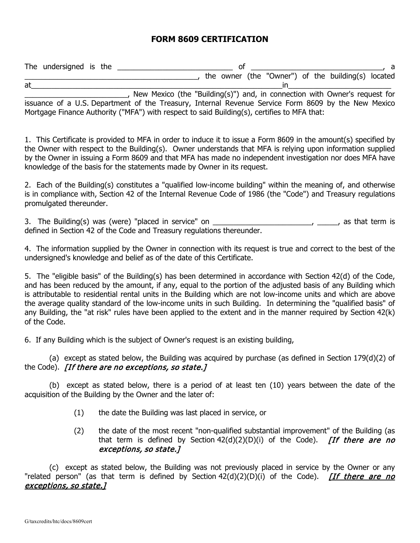## **FORM 8609 CERTIFICATION**

The undersigned is the \_\_\_\_\_\_\_\_\_\_\_\_\_\_\_\_\_\_\_\_\_\_\_\_\_\_\_\_ of \_\_\_\_\_\_\_\_\_\_\_\_\_\_\_\_\_\_\_\_\_\_\_\_\_\_\_\_\_\_\_\_, a \_\_\_\_\_\_\_\_\_\_\_\_\_\_\_\_\_\_\_\_\_\_\_\_\_\_\_\_\_\_\_\_\_\_\_\_\_\_\_\_\_\_, the owner (the "Owner") of the building(s) located at\_\_\_\_\_\_\_\_\_\_\_\_\_\_\_\_\_\_\_\_\_\_\_\_\_\_\_\_\_\_\_\_\_\_\_\_\_\_\_\_\_\_\_\_\_\_\_\_\_\_\_\_\_\_\_\_\_\_\_\_\_in\_\_\_\_\_\_\_\_\_\_\_\_\_\_\_\_\_\_\_\_\_\_\_\_\_

\_\_\_\_\_\_\_\_\_\_\_\_\_\_\_\_\_\_\_\_\_\_\_\_\_, New Mexico (the "Building(s)") and, in connection with Owner's request for issuance of a U.S. Department of the Treasury, Internal Revenue Service Form 8609 by the New Mexico Mortgage Finance Authority ("MFA") with respect to said Building(s), certifies to MFA that:

1. This Certificate is provided to MFA in order to induce it to issue a Form 8609 in the amount(s) specified by the Owner with respect to the Building(s). Owner understands that MFA is relying upon information supplied by the Owner in issuing a Form 8609 and that MFA has made no independent investigation nor does MFA have knowledge of the basis for the statements made by Owner in its request.

2. Each of the Building(s) constitutes a "qualified low-income building" within the meaning of, and otherwise is in compliance with, Section 42 of the Internal Revenue Code of 1986 (the "Code") and Treasury regulations promulgated thereunder.

3. The Building(s) was (were) "placed in service" on \_\_\_\_\_\_\_\_\_\_\_\_\_\_\_\_\_\_\_\_\_\_\_\_\_\_\_\_, as that term is defined in Section 42 of the Code and Treasury regulations thereunder.

4. The information supplied by the Owner in connection with its request is true and correct to the best of the undersigned's knowledge and belief as of the date of this Certificate.

5. The "eligible basis" of the Building(s) has been determined in accordance with Section 42(d) of the Code, and has been reduced by the amount, if any, equal to the portion of the adjusted basis of any Building which is attributable to residential rental units in the Building which are not low-income units and which are above the average quality standard of the low-income units in such Building. In determining the "qualified basis" of any Building, the "at risk" rules have been applied to the extent and in the manner required by Section 42(k) of the Code.

6. If any Building which is the subject of Owner's request is an existing building,

 (a) except as stated below, the Building was acquired by purchase (as defined in Section 179(d)(2) of the Code). *[If there are no exceptions, so state.]* 

(b) except as stated below, there is a period of at least ten (10) years between the date of the acquisition of the Building by the Owner and the later of:

- (1) the date the Building was last placed in service, or
- (2) the date of the most recent "non-qualified substantial improvement" of the Building (as that term is defined by Section  $42(d)(2)(D)(i)$  of the Code). *[If there are no* exceptions, so state.]

(c) except as stated below, the Building was not previously placed in service by the Owner or any "related person" (as that term is defined by Section 42(d)(2)(D)(i) of the Code). *[If there are no* exceptions, so state.]